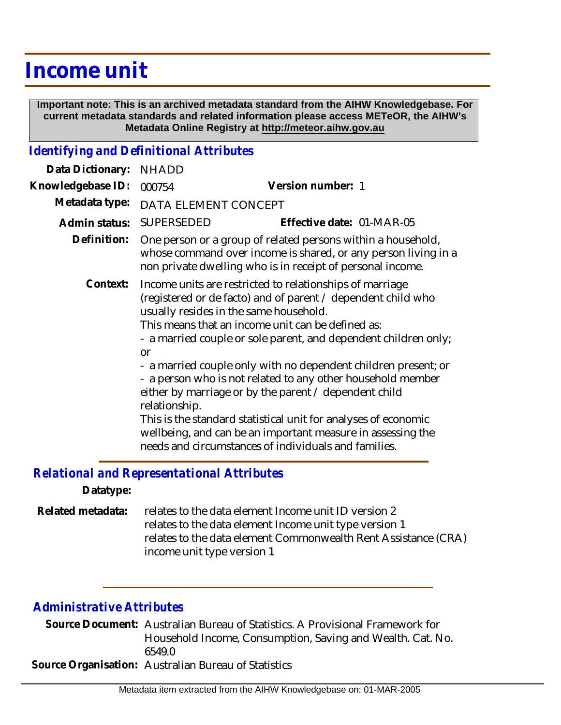## **Income unit**

 **Important note: This is an archived metadata standard from the AIHW Knowledgebase. For current metadata standards and related information please access METeOR, the AIHW's Metadata Online Registry at http://meteor.aihw.gov.au**

## *Identifying and Definitional Attributes*

| Data Dictionary:                           | <b>NHADD</b>                                                                                                                                                                                                                                                                                     |                                                                                                                                                                                                                                                                                                                                                                                 |
|--------------------------------------------|--------------------------------------------------------------------------------------------------------------------------------------------------------------------------------------------------------------------------------------------------------------------------------------------------|---------------------------------------------------------------------------------------------------------------------------------------------------------------------------------------------------------------------------------------------------------------------------------------------------------------------------------------------------------------------------------|
| Knowledgebase ID:                          | 000754                                                                                                                                                                                                                                                                                           | Version number: 1                                                                                                                                                                                                                                                                                                                                                               |
| Metadata type:                             | DATA ELEMENT CONCEPT                                                                                                                                                                                                                                                                             |                                                                                                                                                                                                                                                                                                                                                                                 |
| Admin status:                              | SUPERSEDED                                                                                                                                                                                                                                                                                       | Effective date: 01-MAR-05                                                                                                                                                                                                                                                                                                                                                       |
| Definition:                                | One person or a group of related persons within a household,<br>whose command over income is shared, or any person living in a<br>non private dwelling who is in receipt of personal income.                                                                                                     |                                                                                                                                                                                                                                                                                                                                                                                 |
| Context:                                   | Income units are restricted to relationships of marriage<br>(registered or de facto) and of parent / dependent child who<br>usually resides in the same household.<br>This means that an income unit can be defined as:<br>- a married couple or sole parent, and dependent children only;<br>or |                                                                                                                                                                                                                                                                                                                                                                                 |
|                                            | relationship.                                                                                                                                                                                                                                                                                    | - a married couple only with no dependent children present; or<br>- a person who is not related to any other household member<br>either by marriage or by the parent / dependent child<br>This is the standard statistical unit for analyses of economic<br>wellbeing, and can be an important measure in assessing the<br>needs and circumstances of individuals and families. |
| Relational and Representational Attributes |                                                                                                                                                                                                                                                                                                  |                                                                                                                                                                                                                                                                                                                                                                                 |

*Relational and Representational Attributes*

**Datatype:**

relates to the data element Income unit ID version 2 relates to the data element Income unit type version 1 relates to the data element Commonwealth Rent Assistance (CRA) income unit type version 1 **Related metadata:**

## *Administrative Attributes*

Source Document: Australian Bureau of Statistics. A Provisional Framework for Household Income, Consumption, Saving and Wealth. Cat. No. 6549.0 **Source Organisation:** Australian Bureau of Statistics